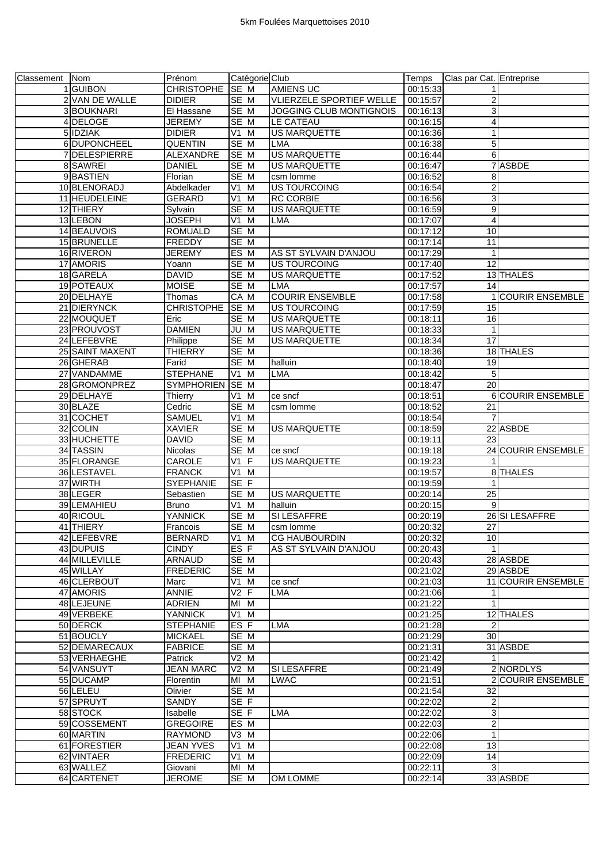| Classement Nom |                 | Prénom            | Catégorie Club   |                                | Temps    | Clas par Cat. Entreprise |                           |
|----------------|-----------------|-------------------|------------------|--------------------------------|----------|--------------------------|---------------------------|
|                | 1 GUIBON        | CHRISTOPHE SE M   |                  | <b>AMIENS UC</b>               | 00:15:33 |                          |                           |
|                | 2 VAN DE WALLE  | <b>DIDIER</b>     | SE M             | VLIERZELE SPORTIEF WELLE       | 00:15:57 | $\overline{\mathbf{c}}$  |                           |
|                | 3 BOUKNARI      | El Hassane        | SE M             | <b>JOGGING CLUB MONTIGNOIS</b> | 00:16:13 | ω                        |                           |
|                | 4 DELOGE        | <b>JEREMY</b>     | SE M             | LE CATEAU                      | 00:16:15 | $\overline{\mathbf{4}}$  |                           |
|                | 5 IDZIAK        | <b>DIDIER</b>     | $V1$ M           | <b>US MARQUETTE</b>            | 00:16:36 | 1                        |                           |
|                | 6 DUPONCHEEL    | <b>QUENTIN</b>    | SE M             | LMA                            | 00:16:38 | 5                        |                           |
|                | 7 DELESPIERRE   | ALEXANDRE         | SE M             | <b>US MARQUETTE</b>            | 00:16:44 | 6                        |                           |
|                | 8 SAWREI        | <b>DANIEL</b>     | SE M             | <b>US MARQUETTE</b>            | 00:16:47 |                          | 7 ASBDE                   |
|                | 9BASTIEN        | Florian           | SE M             | csm lomme                      | 00:16:52 | 8                        |                           |
|                | 10 BLENORADJ    | Abdelkader        | V1 M             | <b>US TOURCOING</b>            | 00:16:54 | $\overline{\mathbf{c}}$  |                           |
|                | 11 HEUDELEINE   | <b>GERARD</b>     | $V1$ M           | <b>RC CORBIE</b>               | 00:16:56 | 3                        |                           |
|                | 12 THIERY       | Sylvain           | SE M             | <b>US MARQUETTE</b>            | 00:16:59 | 9                        |                           |
|                | 13 LEBON        | <b>JOSEPH</b>     | V1 M             | LMA                            | 00:17:07 | $\overline{\mathbf{4}}$  |                           |
|                | 14 BEAUVOIS     | <b>ROMUALD</b>    | SE M             |                                | 00:17:12 | 10                       |                           |
|                | 15 BRUNELLE     | <b>FREDDY</b>     | SE M             |                                | 00:17:14 | 11                       |                           |
|                | 16 RIVERON      | <b>JEREMY</b>     | ES M             | AS ST SYLVAIN D'ANJOU          | 00:17:29 | $\mathbf{1}$             |                           |
|                |                 |                   |                  |                                |          |                          |                           |
|                | 17 AMORIS       | Yoann             | SE M             | <b>US TOURCOING</b>            | 00:17:40 | 12                       |                           |
|                | 18 GARELA       | <b>DAVID</b>      | SE M             | US MARQUETTE                   | 00:17:52 |                          | 13 THALES                 |
|                | 19 POTEAUX      | <b>MOISE</b>      | SE M             | LMA                            | 00:17:57 | 14                       |                           |
|                | 20 DELHAYE      | Thomas            | CA M             | <b>COURIR ENSEMBLE</b>         | 00:17:58 |                          | <b>COURIR ENSEMBLE</b>    |
|                | 21 DIERYNCK     | <b>CHRISTOPHE</b> | SE M             | <b>US TOURCOING</b>            | 00:17:59 | 15                       |                           |
|                | 22 MOUQUET      | Eric              | SE M             | <b>US MARQUETTE</b>            | 00:18:11 | 16                       |                           |
|                | 23 PROUVOST     | <b>DAMIEN</b>     | JU M             | <b>US MARQUETTE</b>            | 00:18:33 | $\mathbf{1}$             |                           |
|                | 24 LEFEBVRE     | Philippe          | SE M             | <b>US MARQUETTE</b>            | 00:18:34 | $\overline{17}$          |                           |
|                | 25 SAINT MAXENT | <b>THIERRY</b>    | SE M             |                                | 00:18:36 |                          | 18 THALES                 |
|                | 26 GHERAB       | Farid             | SE M             | halluin                        | 00:18:40 | 19                       |                           |
|                | 27 VANDAMME     | <b>STEPHANE</b>   | $V1$ M           | <b>LMA</b>                     | 00:18:42 | 5                        |                           |
|                | 28 GROMONPREZ   | SYMPHORIEN SE M   |                  |                                | 00:18:47 | $\overline{20}$          |                           |
|                | 29 DELHAYE      | Thierry           | $VI$ M           | ce sncf                        | 00:18:51 |                          | 6 COURIR ENSEMBLE         |
|                | 30 BLAZE        | Cedric            | SE M             | csm lomme                      | 00:18:52 | 21                       |                           |
|                | 31 COCHET       | SAMUEL            | $V1$ M           |                                | 00:18:54 | $\overline{7}$           |                           |
|                | 32 COLIN        | <b>XAVIER</b>     | SE M             | <b>US MARQUETTE</b>            | 00:18:59 |                          | 22 ASBDE                  |
|                | 33 HUCHETTE     | <b>DAVID</b>      | SE M             |                                | 00:19:11 | 23                       |                           |
|                | 34 TASSIN       | <b>Nicolas</b>    | SE M             | ce sncf                        | 00:19:18 |                          | 24 COURIR ENSEMBLE        |
|                | 35 FLORANGE     | CAROLE            | $V1$ F           | <b>US MARQUETTE</b>            | 00:19:23 |                          |                           |
|                | 36 LESTAVEL     | <b>FRANCK</b>     | V1 M             |                                | 00:19:57 |                          | 8 THALES                  |
|                | 37 WIRTH        | <b>SYEPHANIE</b>  | SE F             |                                | 00:19:59 |                          |                           |
|                | 38 LEGER        | Sebastien         | SE M             | <b>US MARQUETTE</b>            | 00:20:14 | 25                       |                           |
|                | 39 LEMAHIEU     | <b>Bruno</b>      | V1 M             | halluin                        | 00:20:15 | 9                        |                           |
|                | 40 RICOUL       | YANNICK           | SE M             | SI LESAFFRE                    | 00:20:19 |                          | 26 SI LESAFFRE            |
|                | 41 THIERY       | Francois          | SE M             | csm lomme                      | 00:20:32 | 27                       |                           |
|                | 42 LEFEBVRE     | <b>BERNARD</b>    | $V1$ M           | <b>CG HAUBOURDIN</b>           | 00:20:32 | 10                       |                           |
|                | 43 DUPUIS       | <b>CINDY</b>      | ES F             | AS ST SYLVAIN D'ANJOU          | 00:20:43 | $\mathbf{1}$             |                           |
|                | 44 MILLEVILLE   | <b>ARNAUD</b>     | SE M             |                                | 00:20:43 |                          | 28 ASBDE                  |
|                | 45 WILLAY       | <b>FREDERIC</b>   | SE M             |                                | 00:21:02 |                          | 29 ASBDE                  |
|                | 46 CLERBOUT     | Marc              | V1 M             | ce sncf                        | 00:21:03 |                          | <b>11 COURIR ENSEMBLE</b> |
|                | 47 AMORIS       | <b>ANNIE</b>      | $V2$ F           | <b>LMA</b>                     | 00:21:06 | 11                       |                           |
|                | 48 LEJEUNE      | <b>ADRIEN</b>     | $\overline{M}$ M |                                | 00:21:22 | $\mathbf{1}$             |                           |
|                | 49 VERBEKE      | <b>YANNICK</b>    | $V1$ M           |                                | 00:21:25 |                          | 12 THALES                 |
|                | 50 DERCK        | <b>STEPHANIE</b>  | ES <sub>F</sub>  | LMA                            | 00:21:28 | $\overline{c}$           |                           |
|                | 51 BOUCLY       | <b>MICKAEL</b>    | SE M             |                                | 00:21:29 | 30                       |                           |
|                | 52 DEMARECAUX   | <b>FABRICE</b>    | SE <sub>M</sub>  |                                | 00:21:31 |                          | 31 ASBDE                  |
|                | 53 VERHAEGHE    | Patrick           | V2 M             |                                | 00:21:42 | 1                        |                           |
|                | 54 VANSUYT      | JEAN MARC         | $V2$ M           | <b>SI LESAFFRE</b>             | 00:21:49 |                          | 2 NORDLYS                 |
|                | 55 DUCAMP       | Florentin         | MI M             | <b>LWAC</b>                    | 00:21:51 |                          | 2 COURIR ENSEMBLE         |
|                | 56 LELEU        | Olivier           | SE M             |                                | 00:21:54 | 32                       |                           |
|                | 57 SPRUYT       | SANDY             | SE <sub>F</sub>  |                                | 00:22:02 | $\overline{\mathbf{c}}$  |                           |
|                | 58 STOCK        | Isabelle          | SE F             | LMA                            | 00:22:02 | 3                        |                           |
|                | 59 COSSEMENT    | <b>GREGOIRE</b>   | ES M             |                                | 00:22:03 | $\overline{2}$           |                           |
|                | 60 MARTIN       | <b>RAYMOND</b>    | V3 M             |                                | 00:22:06 | $\mathbf{1}$             |                           |
|                | 61 FORESTIER    | <b>JEAN YVES</b>  | $V1$ M           |                                | 00:22:08 | 13                       |                           |
|                |                 |                   |                  |                                |          |                          |                           |
|                | 62 VINTAER      | <b>FREDERIC</b>   | V1 M             |                                | 00:22:09 | 14                       |                           |
|                | 63 WALLEZ       | Giovani           | MI M             |                                | 00:22:11 | 3                        |                           |
|                | 64 CARTENET     | <b>JEROME</b>     | SE M             | OM LOMME                       | 00:22:14 |                          | 33 ASBDE                  |